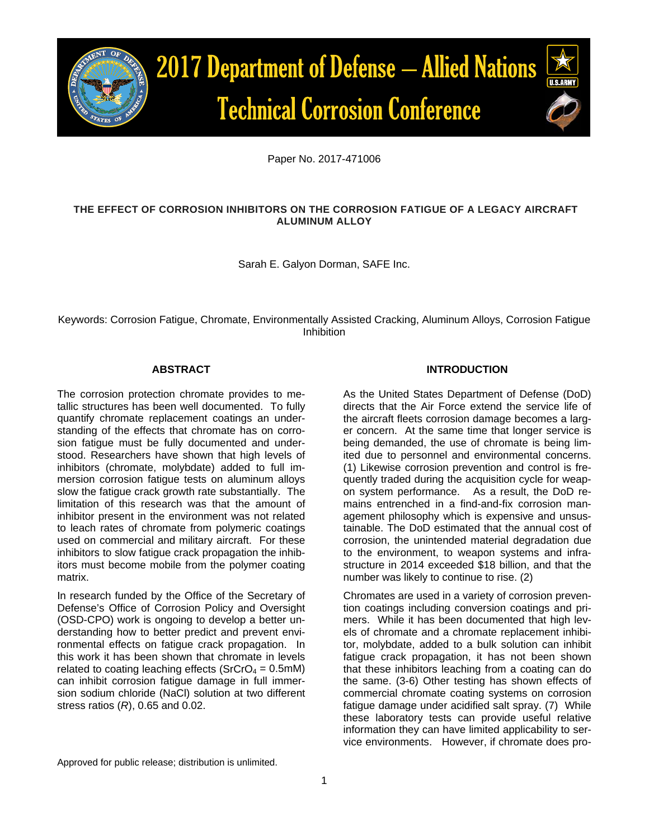

Paper No. 2017-471006

# **THE EFFECT OF CORROSION INHIBITORS ON THE CORROSION FATIGUE OF A LEGACY AIRCRAFT ALUMINUM ALLOY**

Sarah E. Galyon Dorman, SAFE Inc.

Keywords: Corrosion Fatigue, Chromate, Environmentally Assisted Cracking, Aluminum Alloys, Corrosion Fatigue **Inhibition** 

# **ABSTRACT**

The corrosion protection chromate provides to metallic structures has been well documented. To fully quantify chromate replacement coatings an understanding of the effects that chromate has on corrosion fatigue must be fully documented and understood. Researchers have shown that high levels of inhibitors (chromate, molybdate) added to full immersion corrosion fatigue tests on aluminum alloys slow the fatigue crack growth rate substantially. The limitation of this research was that the amount of inhibitor present in the environment was not related to leach rates of chromate from polymeric coatings used on commercial and military aircraft. For these inhibitors to slow fatigue crack propagation the inhibitors must become mobile from the polymer coating matrix.

In research funded by the Office of the Secretary of Defense's Office of Corrosion Policy and Oversight (OSD-CPO) work is ongoing to develop a better understanding how to better predict and prevent environmental effects on fatigue crack propagation. In this work it has been shown that chromate in levels related to coating leaching effects ( $SrCrO<sub>4</sub> = 0.5$ mM) can inhibit corrosion fatigue damage in full immersion sodium chloride (NaCl) solution at two different stress ratios (*R*), 0.65 and 0.02.

## **INTRODUCTION**

As the United States Department of Defense (DoD) directs that the Air Force extend the service life of the aircraft fleets corrosion damage becomes a larger concern. At the same time that longer service is being demanded, the use of chromate is being limited due to personnel and environmental concerns. (1) Likewise corrosion prevention and control is frequently traded during the acquisition cycle for weapon system performance. As a result, the DoD remains entrenched in a find-and-fix corrosion management philosophy which is expensive and unsustainable. The DoD estimated that the annual cost of corrosion, the unintended material degradation due to the environment, to weapon systems and infrastructure in 2014 exceeded \$18 billion, and that the number was likely to continue to rise. (2)

Chromates are used in a variety of corrosion prevention coatings including conversion coatings and primers. While it has been documented that high levels of chromate and a chromate replacement inhibitor, molybdate, added to a bulk solution can inhibit fatigue crack propagation, it has not been shown that these inhibitors leaching from a coating can do the same. (3-6) Other testing has shown effects of commercial chromate coating systems on corrosion fatigue damage under acidified salt spray. (7) While these laboratory tests can provide useful relative information they can have limited applicability to service environments. However, if chromate does pro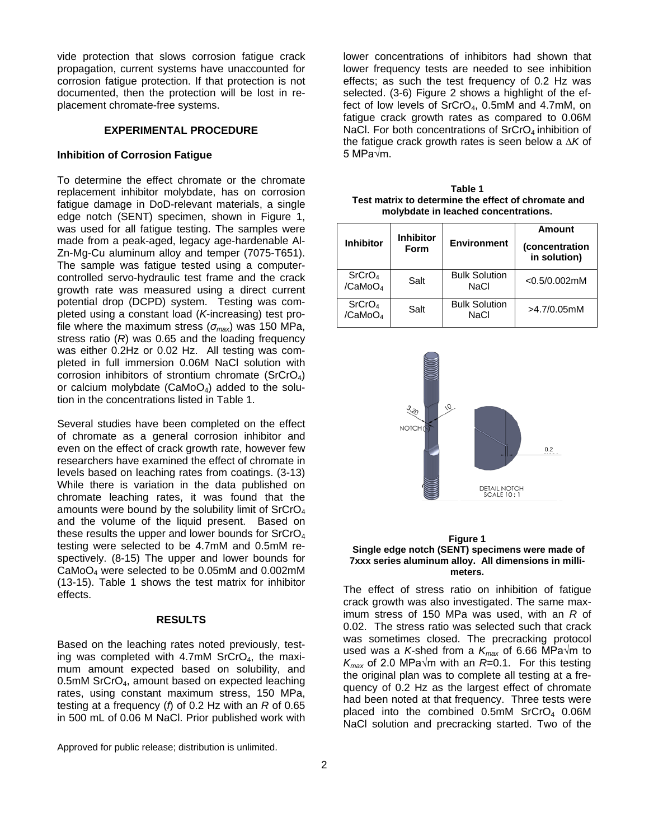vide protection that slows corrosion fatigue crack propagation, current systems have unaccounted for corrosion fatigue protection. If that protection is not documented, then the protection will be lost in replacement chromate-free systems.

## **EXPERIMENTAL PROCEDURE**

### **Inhibition of Corrosion Fatigue**

To determine the effect chromate or the chromate replacement inhibitor molybdate, has on corrosion fatigue damage in DoD-relevant materials, a single edge notch (SENT) specimen, shown in Figure 1, was used for all fatigue testing. The samples were made from a peak-aged, legacy age-hardenable Al-Zn-Mg-Cu aluminum alloy and temper (7075-T651). The sample was fatigue tested using a computercontrolled servo-hydraulic test frame and the crack growth rate was measured using a direct current potential drop (DCPD) system. Testing was completed using a constant load (*K*-increasing) test profile where the maximum stress  $(\sigma_{max})$  was 150 MPa, stress ratio (*R*) was 0.65 and the loading frequency was either 0.2Hz or 0.02 Hz. All testing was completed in full immersion 0.06M NaCl solution with corrosion inhibitors of strontium chromate ( $SrCrO<sub>4</sub>$ ) or calcium molybdate (CaMo $O<sub>4</sub>$ ) added to the solution in the concentrations listed in Table 1.

Several studies have been completed on the effect of chromate as a general corrosion inhibitor and even on the effect of crack growth rate, however few researchers have examined the effect of chromate in levels based on leaching rates from coatings. (3-13) While there is variation in the data published on chromate leaching rates, it was found that the amounts were bound by the solubility limit of  $SrCrO<sub>4</sub>$ and the volume of the liquid present. Based on these results the upper and lower bounds for  $SrCrO<sub>4</sub>$ testing were selected to be 4.7mM and 0.5mM respectively. (8-15) The upper and lower bounds for CaMoO4 were selected to be 0.05mM and 0.002mM (13-15). [Table 1](#page-1-0) shows the test matrix for inhibitor effects.

## **RESULTS**

Based on the leaching rates noted previously, testing was completed with 4.7mM SrCrO<sub>4</sub>, the maximum amount expected based on solubility, and 0.5mM SrCrO4, amount based on expected leaching rates, using constant maximum stress, 150 MPa, testing at a frequency (*f*) of 0.2 Hz with an *R* of 0.65 in 500 mL of 0.06 M NaCl. Prior published work with

Approved for public release; distribution is unlimited.

lower concentrations of inhibitors had shown that lower frequency tests are needed to see inhibition effects; as such the test frequency of 0.2 Hz was selected. (3-6) Figure 2 shows a highlight of the effect of low levels of SrCrO4, 0.5mM and 4.7mM, on fatigue crack growth rates as compared to 0.06M NaCl. For both concentrations of  $SrCrO<sub>4</sub>$  inhibition of the fatigue crack growth rates is seen below a *∆K* of 5 MPa√m.

<span id="page-1-0"></span>**Table 1 Test matrix to determine the effect of chromate and molybdate in leached concentrations.**

| <b>Inhibitor</b>                          | <b>Inhibitor</b><br>Form | <b>Environment</b>                  | Amount<br>(concentration<br>in solution) |
|-------------------------------------------|--------------------------|-------------------------------------|------------------------------------------|
| SrCrO <sub>4</sub><br>/CaMoO <sub>4</sub> | Salt                     | <b>Bulk Solution</b><br><b>NaCl</b> | $<$ 0.5/0.002mM                          |
| SrCrO <sub>4</sub><br>/CaMoO <sub>4</sub> | Salt                     | <b>Bulk Solution</b><br><b>NaCl</b> | $>4.7/0.05$ mM                           |



#### **Figure 1 Single edge notch (SENT) specimens were made of 7xxx series aluminum alloy. All dimensions in millimeters.**

The effect of stress ratio on inhibition of fatigue crack growth was also investigated. The same maximum stress of 150 MPa was used, with an *R* of 0.02. The stress ratio was selected such that crack was sometimes closed. The precracking protocol used was a *K*-shed from a *Kmax* of 6.66 MPa√m to  $K_{\text{max}}$  of 2.0 MPa $\sqrt{m}$  with an *R*=0.1. For this testing the original plan was to complete all testing at a frequency of 0.2 Hz as the largest effect of chromate had been noted at that frequency. Three tests were placed into the combined  $0.5$ mM SrCrO<sub>4</sub>  $0.06$ M NaCl solution and precracking started. Two of the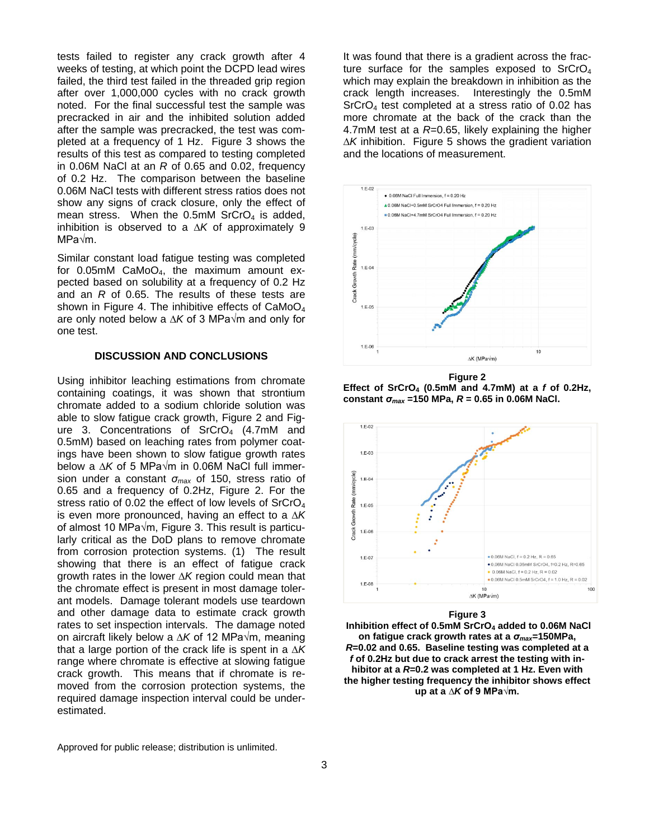tests failed to register any crack growth after 4 weeks of testing, at which point the DCPD lead wires failed, the third test failed in the threaded grip region after over 1,000,000 cycles with no crack growth noted. For the final successful test the sample was precracked in air and the inhibited solution added after the sample was precracked, the test was completed at a frequency of 1 Hz. Figure 3 shows the results of this test as compared to testing completed in 0.06M NaCl at an *R* of 0.65 and 0.02, frequency of 0.2 Hz. The comparison between the baseline 0.06M NaCl tests with different stress ratios does not show any signs of crack closure, only the effect of mean stress. When the  $0.5$ mM SrCrO<sub>4</sub> is added, inhibition is observed to a *∆K* of approximately 9 MPa√m.

Similar constant load fatigue testing was completed for  $0.05$ mM CaMoO<sub>4</sub>, the maximum amount expected based on solubility at a frequency of 0.2 Hz and an *R* of 0.65. The results of these tests are shown in Figure 4. The inhibitive effects of  $CaMoO<sub>4</sub>$ are only noted below a *∆K* of 3 MPa√m and only for one test.

## **DISCUSSION AND CONCLUSIONS**

Using inhibitor leaching estimations from chromate containing coatings, it was shown that strontium chromate added to a sodium chloride solution was able to slow fatigue crack growth, Figure 2 and Figure 3. Concentrations of  $SrCrO<sub>4</sub>$  (4.7mM and 0.5mM) based on leaching rates from polymer coatings have been shown to slow fatigue growth rates below a *∆K* of 5 MPa√m in 0.06M NaCl full immersion under a constant *σmax* of 150, stress ratio of 0.65 and a frequency of 0.2Hz, Figure 2. For the stress ratio of 0.02 the effect of low levels of SrCrO<sub>4</sub> is even more pronounced, having an effect to a *∆K* of almost 10 MPa√m, Figure 3. This result is particularly critical as the DoD plans to remove chromate from corrosion protection systems. (1) The result showing that there is an effect of fatigue crack growth rates in the lower *∆K* region could mean that the chromate effect is present in most damage tolerant models. Damage tolerant models use teardown and other damage data to estimate crack growth rates to set inspection intervals. The damage noted on aircraft likely below a *∆K* of 12 MPa√m, meaning that a large portion of the crack life is spent in a *∆K* range where chromate is effective at slowing fatigue crack growth. This means that if chromate is removed from the corrosion protection systems, the required damage inspection interval could be underestimated.

It was found that there is a gradient across the fracture surface for the samples exposed to  $SrCrO<sub>4</sub>$ which may explain the breakdown in inhibition as the crack length increases. Interestingly the 0.5mM SrCrO<sub>4</sub> test completed at a stress ratio of 0.02 has more chromate at the back of the crack than the 4.7mM test at a *R*=0.65, likely explaining the higher *∆K* inhibition. [Figure 5](#page-3-0) shows the gradient variation and the locations of measurement.



**Figure 2 Effect of SrCrO4 (0.5mM and 4.7mM) at a** *f* **of 0.2Hz, constant** *σmax* **=150 MPa,** *R* **= 0.65 in 0.06M NaCl.**



### **Figure 3**

**Inhibition effect of 0.5mM SrCrO4 added to 0.06M NaCl on fatigue crack growth rates at a** *σmax***=150MPa,**  *R***=0.02 and 0.65. Baseline testing was completed at a**  *f* **of 0.2Hz but due to crack arrest the testing with inhibitor at a** *R***=0.2 was completed at 1 Hz. Even with the higher testing frequency the inhibitor shows effect up at a** *∆K* **of 9 MPa√m.**

Approved for public release; distribution is unlimited.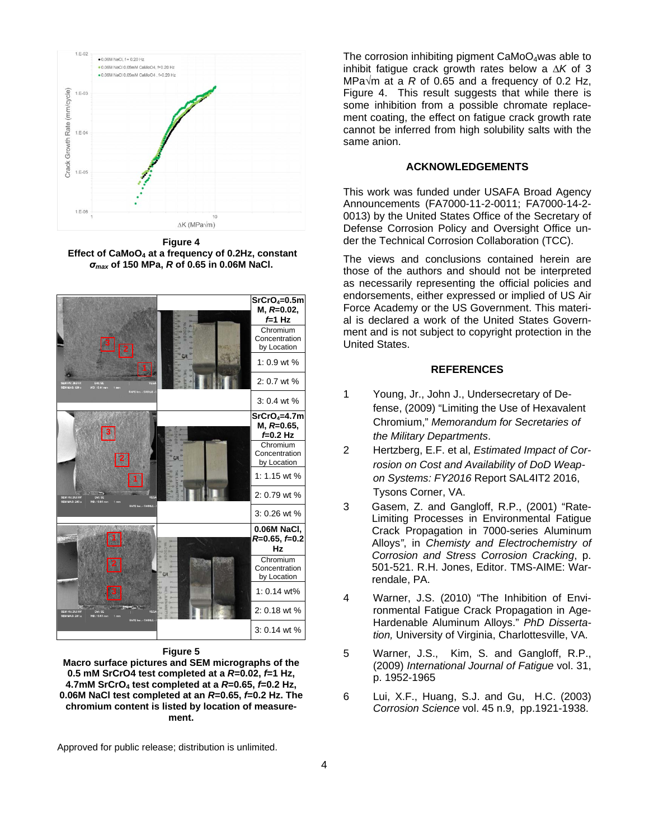

**Figure 4 Effect of CaMoO4 at a frequency of 0.2Hz, constant**  *σmax* **of 150 MPa,** *R* **of 0.65 in 0.06M NaCl.**



**Figure 5**

<span id="page-3-0"></span>**Macro surface pictures and SEM micrographs of the 0.5 mM SrCrO4 test completed at a** *R***=0.02,** *f***=1 Hz, 4.7mM SrCrO4 test completed at a** *R***=0.65,** *f***=0.2 Hz, 0.06M NaCl test completed at an** *R***=0.65,** *f***=0.2 Hz. The chromium content is listed by location of measurement.**

Approved for public release; distribution is unlimited.

The corrosion inhibiting pigment  $CaMoO<sub>4</sub>$ was able to inhibit fatigue crack growth rates below a *∆K* of 3 MPa√m at a *R* of 0.65 and a frequency of 0.2 Hz, Figure 4. This result suggests that while there is some inhibition from a possible chromate replacement coating, the effect on fatigue crack growth rate cannot be inferred from high solubility salts with the same anion.

## **ACKNOWLEDGEMENTS**

This work was funded under USAFA Broad Agency Announcements (FA7000-11-2-0011; FA7000-14-2- 0013) by the United States Office of the Secretary of Defense Corrosion Policy and Oversight Office under the Technical Corrosion Collaboration (TCC).

The views and conclusions contained herein are those of the authors and should not be interpreted as necessarily representing the official policies and endorsements, either expressed or implied of US Air Force Academy or the US Government. This material is declared a work of the United States Government and is not subject to copyright protection in the United States.

### **REFERENCES**

- 1 Young, Jr., John J., Undersecretary of Defense, (2009) "Limiting the Use of Hexavalent Chromium," *Memorandum for Secretaries of the Military Departments*.
- 2 Hertzberg, E.F. et al, *Estimated Impact of Corrosion on Cost and Availability of DoD Weapon Systems: FY2016* Report SAL4IT2 2016, Tysons Corner, VA.
- 3 Gasem, Z. and Gangloff, R.P., (2001) "Rate-Limiting Processes in Environmental Fatigue Crack Propagation in 7000-series Aluminum Alloys*"*, in *Chemisty and Electrochemistry of Corrosion and Stress Corrosion Cracking*, p. 501-521. R.H. Jones, Editor. TMS-AIME: Warrendale, PA.
- 4 Warner, J.S. (2010) "The Inhibition of Environmental Fatigue Crack Propagation in Age-Hardenable Aluminum Alloys." *PhD Dissertation,* University of Virginia, Charlottesville, VA.
- 5 Warner, J.S., Kim, S. and Gangloff, R.P., (2009) *International Journal of Fatigue* vol. 31, p. 1952-1965
- 6 Lui, X.F., Huang, S.J. and Gu, H.C. (2003) *Corrosion Science* vol. 45 n.9, pp.1921-1938.